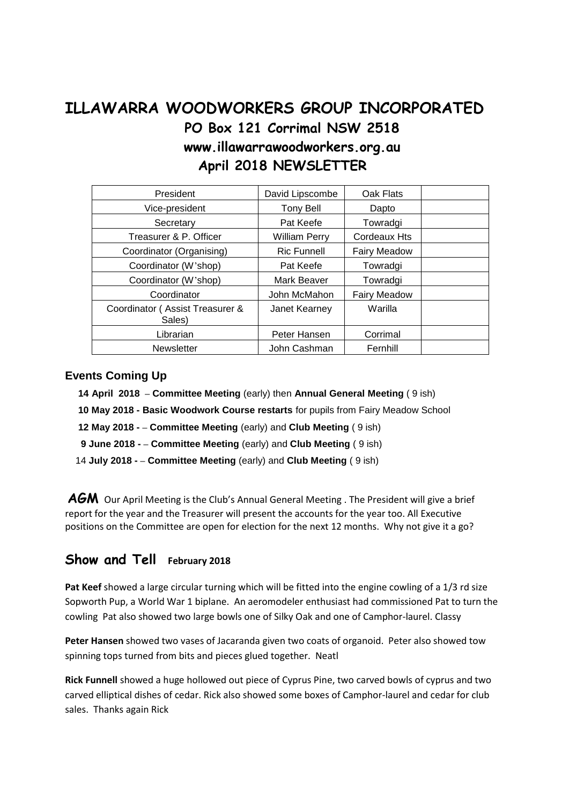## **ILLAWARRA WOODWORKERS GROUP INCORPORATED PO Box 121 Corrimal NSW 2518 www.illawarrawoodworkers.org.au April 2018 NEWSLETTER**

| President                                 | David Lipscombe      | Oak Flats           |  |
|-------------------------------------------|----------------------|---------------------|--|
| Vice-president                            | <b>Tony Bell</b>     | Dapto               |  |
| Secretary                                 | Pat Keefe            | Towradgi            |  |
| Treasurer & P. Officer                    | <b>William Perry</b> | <b>Cordeaux Hts</b> |  |
| Coordinator (Organising)                  | <b>Ric Funnell</b>   | <b>Fairy Meadow</b> |  |
| Coordinator (W'shop)                      | Pat Keefe            | Towradgi            |  |
| Coordinator (W'shop)                      | Mark Beaver          | Towradgi            |  |
| Coordinator                               | John McMahon         | <b>Fairy Meadow</b> |  |
| Coordinator (Assist Treasurer &<br>Sales) | Janet Kearney        | Warilla             |  |
| Librarian                                 | Peter Hansen         | Corrimal            |  |
| <b>Newsletter</b>                         | John Cashman         | Fernhill            |  |

## **Events Coming Up**

- **14 April 2018 – Committee Meeting** (early) then **Annual General Meeting** ( 9 ish)
- **10 May 2018 - Basic Woodwork Course restarts** for pupils from Fairy Meadow School
- **12 May 2018 - – Committee Meeting** (early) and **Club Meeting** ( 9 ish)
- **9 June 2018 - – Committee Meeting** (early) and **Club Meeting** ( 9 ish)
- 14 **July 2018 - – Committee Meeting** (early) and **Club Meeting** ( 9 ish)

AGM Our April Meeting is the Club's Annual General Meeting . The President will give a brief report for the year and the Treasurer will present the accounts for the year too. All Executive positions on the Committee are open for election for the next 12 months. Why not give it a go?

## **Show and Tell February 2018**

**Pat Keef** showed a large circular turning which will be fitted into the engine cowling of a 1/3 rd size Sopworth Pup, a World War 1 biplane. An aeromodeler enthusiast had commissioned Pat to turn the cowling Pat also showed two large bowls one of Silky Oak and one of Camphor-laurel. Classy

**Peter Hansen** showed two vases of Jacaranda given two coats of organoid. Peter also showed tow spinning tops turned from bits and pieces glued together. Neatl

**Rick Funnell** showed a huge hollowed out piece of Cyprus Pine, two carved bowls of cyprus and two carved elliptical dishes of cedar. Rick also showed some boxes of Camphor-laurel and cedar for club sales. Thanks again Rick